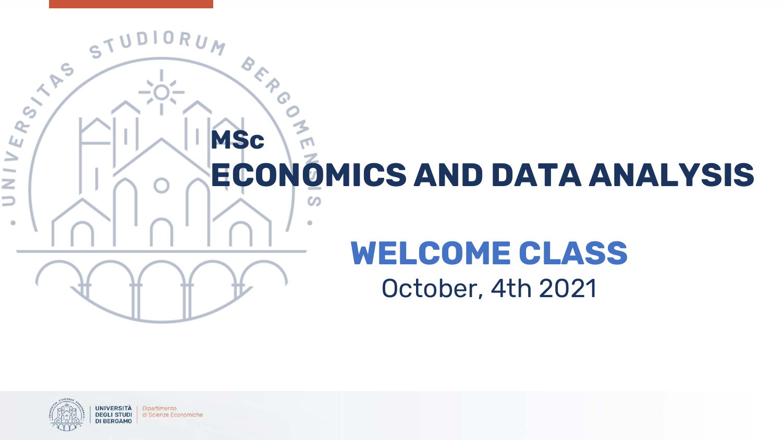



Dipartimento di Scienze Economiche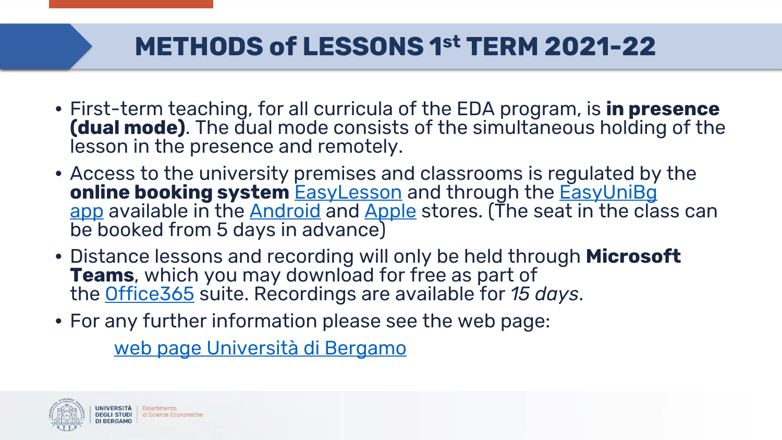# **METHODS of LESSONS 1st TERM 2021-22**

- First-term teaching, for all curricula of the EDA program, is **in presence (dual mode)**. The dual mode consists of the simultaneous holding of the lesson in the presence and remotely.
- Access to the university premises and classrooms is regulated by the **[online booking system](https://logistica.unibg.it/PortaleStudenti/index.php?view=infoapp&include=homepage&_lang=it) [EasyLesson](https://logistica.unibg.it/PortaleStudenti/index.php?view=home&_lang=it)** and through the **EasyUniBg** app available in the [Android](https://play.google.com/store/apps/details?id=it.easystaff.unibg&hl=it) and [Apple](https://apps.apple.com/it/app/easyunibg/id1377664130) stores. (The seat in the class can be booked from 5 days in advance)
- Distance lessons and recording will only be held through **Microsoft Teams**, which you may download for free as part of the [Office365](https://www.unibg.it/avvisi/office-365-studenti-unibg) suite. Recordings are available for *15 days*.
- For any further information please see the web page:

[web page Università di Bergamo](https://en.unibg.it/)

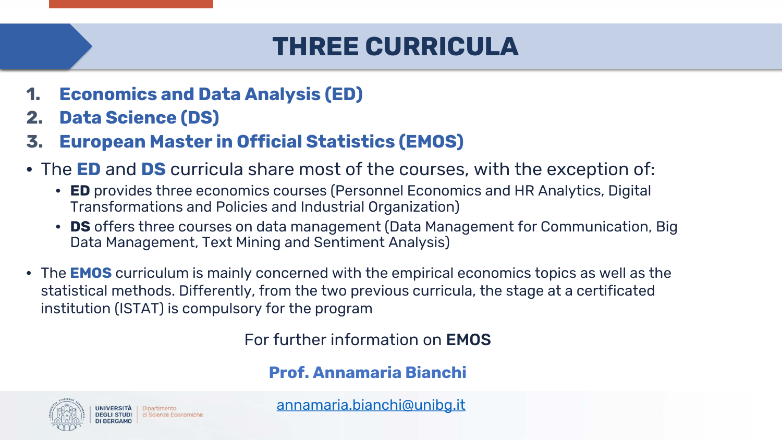### **THREE CURRICULA**

- **1. Economics and Data Analysis (ED)**
- **2. Data Science (DS)**
- **3. European Master in Official Statistics (EMOS)**
- The **ED** and **DS** curricula share most of the courses, with the exception of:
	- **ED** provides three economics courses (Personnel Economics and HR Analytics, Digital Transformations and Policies and Industrial Organization)
	- **DS** offers three courses on data management (Data Management for Communication, Big Data Management, Text Mining and Sentiment Analysis)
- The **EMOS** curriculum is mainly concerned with the empirical economics topics as well as the statistical methods. Differently, from the two previous curricula, the stage at a certificated institution (ISTAT) is compulsory for the program

For further information on EMOS

**Prof. Annamaria Bianchi**



UNIVERSITÀ Dipartimento di Scienze Economiche [annamaria.bianchi@unibg.it](mailto:annamaria.bianchi@unibg.it)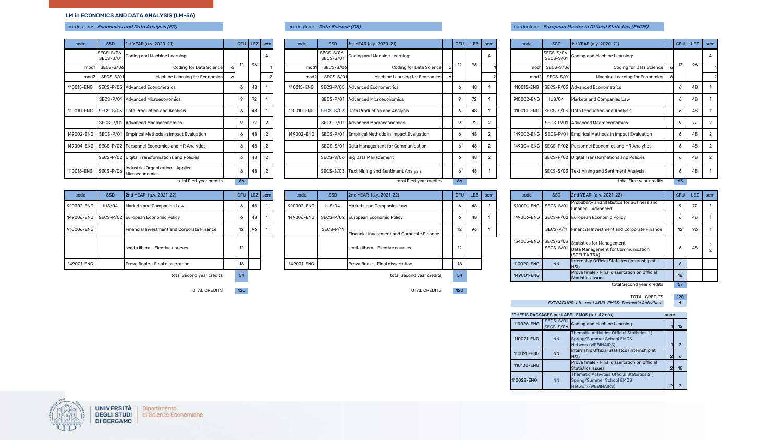#### LM in ECONOMICS AND DATA ANALYSIS (LM-56)

| code             | <b>SSD</b>              | 1st YEAR (a.y. 2020-21)                             |   | CFU | <b>LEZ</b> | sem            | code             | <b>SSD</b>              |
|------------------|-------------------------|-----------------------------------------------------|---|-----|------------|----------------|------------------|-------------------------|
|                  | SECS-S/06-<br>SECS-S/01 | Coding and Machine Learning:                        |   |     |            | А              |                  | SECS-S/06-<br>SECS-S/01 |
| mod1             | SECS-S/06               | Coding for Data Science                             | 6 | 12  | 96         |                | mod1             | SECS-S/06               |
| mod <sub>2</sub> | SECS-S/01               | Machine Learning for Economics                      | 6 |     |            |                | mod <sub>2</sub> | <b>SECS-S/01</b>        |
| 110015-ENG       |                         | SECS-P/05 Advanced Econometrics                     |   | 6   | 48         | 1              | 110015-ENG       | SECS-P/05               |
|                  |                         | SECS-P/01 Advanced Microeconomics                   |   | 9   | 72         | 1              |                  | SECS-P/01               |
| 110010-ENG       |                         | SECS-S/03 Data Production and Analysis              |   | 6   | 48         | 1              | 110010-ENG       | SECS-S/03               |
|                  |                         | SECS-P/01 Advanced Macroeconomics                   |   | 9   | 72         | $\overline{2}$ |                  | SECS-P/01               |
| 149002-ENG       | SECS-P/01               | Empirical Methods in Impact Evaluation              |   | 6   | 48         | $\overline{2}$ | 149002-ENG       | SECS-P/01               |
| 149004-ENG       |                         | SECS-P/02 Personnel Economics and HR Analytics      |   | 6   | 48         | $\overline{2}$ |                  | SECS-S/01               |
|                  | SECS-P/02               | Digital Transformations and Policies                |   | 6   | 48         | $\mathfrak{p}$ |                  | SECS-S/06               |
| 110016-ENG       | SECS-P/06               | Industrial Organization - Applied<br>Microeconomics |   | 6   | 48         | $\overline{2}$ |                  | SECS-S/03               |

|  | rriculum: |  | Data Science (DS) |  |
|--|-----------|--|-------------------|--|
|--|-----------|--|-------------------|--|

| code                 | SSD                     | 1st YEAR (a.y. 2020-21)                                     |              | CFU LEZ | sem            | code             | <b>SSD</b>              | 1st YEAR (a.y. 2020-21)                          | CFU | <b>LEZ</b> | sem            | code       | <b>SSD</b>              | 1st YEAR (a.y. 2020-21)                                       |         | CFU LEZ ser |  |
|----------------------|-------------------------|-------------------------------------------------------------|--------------|---------|----------------|------------------|-------------------------|--------------------------------------------------|-----|------------|----------------|------------|-------------------------|---------------------------------------------------------------|---------|-------------|--|
|                      | SECS-S/06-<br>SECS-S/01 | Coding and Machine Learning:                                |              |         |                |                  | SECS-S/06-<br>SECS-S/01 | Coding and Machine Learning:                     |     |            |                |            | SECS-S/06-<br>SECS-S/01 | Coding and Machine Learning:                                  |         |             |  |
| mod1                 | SECS-S/06               | Coding for Data Science                                     | 12           | 96      |                | mod <sup>o</sup> | SECS-S/06               | Coding for Data Science                          |     | 96         |                | mod1       | <b>SECS-S/06</b>        | Coding for Data Science                                       | 12      | 96          |  |
| mod <sub>2</sub>     | SECS-S/01               | Machine Learning for Economics                              |              |         |                | mod:             | SECS-S/01               | Machine Learning for Economics                   |     |            |                | mod2       | SECS-S/01               | Machine Learning for Economics                                |         |             |  |
|                      |                         | 110015-ENG   SECS-P/05 Advanced Econometrics                |              |         |                | 110015-ENG       |                         | SECS-P/05 Advanced Econometrics                  |     | 48         |                |            |                         | 110015-ENG   SECS-P/05   Advanced Econometrics                | 6       | 48          |  |
|                      |                         | SECS-P/01 Advanced Microeconomics                           |              | 72      |                |                  |                         | SECS-P/01 Advanced Microeconomics                |     | 72         |                | 910002-ENG | IUS/04                  | Markets and Companies Law                                     | 6       | 48          |  |
|                      |                         | 110010-ENG SECS-S/03 Data Production and Analysis           | $\epsilon$   | 4٤      |                | 110010-ENG       |                         | SECS-S/03 Data Production and Analysis           | o   | 48         |                |            |                         | 110010-ENG SECS-S/03 Data Production and Analysis             | 6       | 48          |  |
|                      |                         | SECS-P/01 Advanced Macroeconomics                           | $\circ$      | 72      |                |                  |                         | SECS-P/01 Advanced Macroeconomics                |     | 72         |                |            |                         | SECS-P/01 Advanced Macroeconomics                             | $\circ$ | 72          |  |
|                      |                         | 149002-ENG SECS-P/01 Empirical Methods in Impact Evaluation | -6           | 48      | $\overline{2}$ | 149002-ENG       |                         | SECS-P/01 Empirical Methods in Impact Evaluation | o   | 48         | $\overline{2}$ |            |                         | 149002-ENG   SECS-P/01 Empirical Methods in Impact Evaluation | -6      | 48          |  |
|                      |                         | 149004-ENG SECS-P/02 Personnel Economics and HR Analytics   | <sup>6</sup> |         |                |                  |                         | SECS-S/01 Data Management for Communication      | 6   | 48         | $\overline{2}$ |            |                         | 149004-ENG SECS-P/02 Personnel Economics and HR Analytics     | 6       | 48          |  |
|                      |                         | SECS-P/02 Digital Transformations and Policies              |              |         |                |                  |                         | SECS-S/06 Big Data Management                    |     | 48         |                |            |                         | SECS-P/02 Digital Transformations and Policies                | 6       | 48          |  |
| 110016-ENG SECS-P/06 |                         | Industrial Organization - Applied<br>Microeconomics         | -6           | 48      |                |                  |                         | SECS-S/03 Text Mining and Sentiment Analysis     | o   | 48         |                |            |                         | SECS-S/03 Text Mining and Sentiment Analysis                  | 6       | 48          |  |
|                      |                         | total First year credits                                    | 66           |         |                |                  |                         | total First year credits                         | 66  |            |                |            |                         | total First year credits                                      | 63      |             |  |

| code       | <b>SSD</b> | 2nd YEAR (a.y. 2021-22)                       |    | CFU   LEZ   sem |  | code       | <b>SSD</b>    | 2nd YEAR (a.y. 2021-22)                         |    | CFU LEZ sem |  | code       | <b>SSD</b>           | 2nd YEAR (a.y. 2021-22)                                                                                       |
|------------|------------|-----------------------------------------------|----|-----------------|--|------------|---------------|-------------------------------------------------|----|-------------|--|------------|----------------------|---------------------------------------------------------------------------------------------------------------|
| 910002-ENG | IUS/04     | Markets and Companies Law                     |    | 48              |  | 910002-ENG | <b>IUS/04</b> | Markets and Companies Law                       |    | 48          |  |            | 910001-ENG SECS-S/01 | Probability and Statistics for Business and<br>Finance - advanced                                             |
|            |            | 149006-ENG SECS-P/02 European Economic Policy |    | 48              |  |            |               | 149006-ENG   SECS-P/02 European Economic Policy |    | 48          |  |            |                      | 149006-ENG   SECS-P/02 European Economic Policy                                                               |
| 910006-ENG |            | Financial Investment and Corporate Finance    | 12 | 96              |  |            | SECS-P/11     | Financial Investment and Corporate Finance      | 12 | 96          |  |            |                      | SECS-P/11 Financial Investment and Corporate Finand                                                           |
|            |            | scelta libera - Elective courses              | 12 |                 |  |            |               | scelta libera - Elective courses                | 12 |             |  |            |                      | 134005-ENG SECS-S/03 Statistics for Management<br>SECS-S/01 Data Management for Communication<br>(SCELTA TRA) |
| 149001-ENG |            | Prova finale - Final dissertation             | 18 |                 |  | 149001-ENG |               | Prova finale - Final dissertation               |    |             |  | 110020-ENG | <b>NN</b>            | Internship Official Statistcs (internship at                                                                  |
|            |            | total Second vear credits                     | 54 |                 |  |            |               | total Second vear credits                       | 54 |             |  | 149001-ENG |                      | Prova finale - Final dissertation on Official<br>Statistics issues                                            |
|            |            |                                               |    |                 |  |            |               |                                                 |    |             |  |            |                      | total Second year cred                                                                                        |

TOTAL CREDITS 120 TOTAL CREDITS 120

#### curriculum: Economics and Data Analysis (ED) curriculum: Data Science (DS) curriculum: Curriculum: European Master in Official Statistics (EMOS)

| code             | <b>SSD</b>                     | 1st YEAR (a.y. 2020-21)                                  |  |            | CFU LEZ sem |                | code             | <b>SSD</b>              | 1st YEAR (a.y. 2020-21)                          | <b>CFU</b> | LEZ | sem            | code             | <b>SSD</b>              | 1st YEAR (a.y. 2020-21)                                     | CFU | <b>LEZ</b> |  |
|------------------|--------------------------------|----------------------------------------------------------|--|------------|-------------|----------------|------------------|-------------------------|--------------------------------------------------|------------|-----|----------------|------------------|-------------------------|-------------------------------------------------------------|-----|------------|--|
|                  | SECS-S/06-<br>SECS-S/01        | Coding and Machine Learning:                             |  |            |             |                |                  | SECS-S/06-<br>SECS-S/01 | Coding and Machine Learning:                     |            |     |                |                  | SECS-S/06-<br>SECS-S/01 | Coding and Machine Learning:                                |     |            |  |
| mod <sup>.</sup> | SECS-S/06                      | Coding for Data Science                                  |  | 12         | 96          |                | mod′             | SECS-S/06               | Coding for Data Science                          |            | 96  |                | mod1             | SECS-S/06               | Coding for Data Science                                     | 12  | 96         |  |
| mod <sub>2</sub> | SECS-S/01                      | Machine Learning for Economics                           |  |            |             |                | mod <sub>2</sub> | SECS-S/0                | Machine Learning for Economics                   |            |     |                | mod <sub>2</sub> | SECS-S/01               | Machine Learning for Economics                              |     |            |  |
| 015-ENG          |                                | SECS-P/05 Advanced Econometrics                          |  | 6          |             |                | 110015-ENG       |                         | SECS-P/05 Advanced Econometrics                  |            | 48  |                | 110015-ENG       |                         | SECS-P/05 Advanced Econometrics                             |     | 48         |  |
|                  |                                | SECS-P/01 Advanced Microeconomics                        |  |            | 72          |                |                  |                         | SECS-P/01 Advanced Microeconomics                |            | 72  |                | 910002-ENG       | IUS/04                  | Markets and Companies Law                                   |     |            |  |
| 010-ENG          |                                | SECS-S/03 Data Production and Analysis                   |  | $\epsilon$ |             |                | 110010-ENG       |                         | SECS-S/03 Data Production and Analysis           |            | 48  |                |                  |                         | 110010-ENG SECS-S/03 Data Production and Analysis           |     |            |  |
|                  |                                | SECS-P/01 Advanced Macroeconomics                        |  | $\circ$    | 72          |                |                  |                         | SECS-P/01 Advanced Macroeconomics                | c          | 72  |                |                  |                         | SECS-P/01 Advanced Macroeconomics                           |     | 72         |  |
|                  |                                | 002-ENG SECS-P/01 Empirical Methods in Impact Evaluation |  | 6          |             | $\overline{2}$ | 149002-ENG       |                         | SECS-P/01 Empirical Methods in Impact Evaluation | 6          | 48  | $\overline{2}$ |                  |                         | 149002-ENG SECS-P/01 Empirical Methods in Impact Evaluation | -6  | 48         |  |
|                  |                                | 004-ENG SECS-P/02 Personnel Economics and HR Analytics   |  | -6         |             |                |                  |                         | SECS-S/01 Data Management for Communication      |            | 48  | $\overline{2}$ |                  |                         | 149004-ENG SECS-P/02 Personnel Economics and HR Analytics   | ∩   |            |  |
|                  |                                | SECS-P/02 Digital Transformations and Policies           |  | 6          |             |                |                  |                         | SECS-S/06 Big Data Management                    |            | 48  |                |                  |                         | SECS-P/02 Digital Transformations and Policies              |     | 48         |  |
|                  | 016-ENG SECS-P/06              | Industrial Organization - Applied<br>Microeconomics      |  | 6          | 48          |                |                  |                         | SECS-S/03 Text Mining and Sentiment Analysis     | o          | 48  |                |                  |                         | SECS-S/03 Text Mining and Sentiment Analysis                | -6  | 48         |  |
|                  | total First year credits<br>66 |                                                          |  |            |             |                |                  |                         | total First year credits                         | 66         |     |                |                  |                         | total First year credits                                    | 63. |            |  |

| code    | <b>SSD</b>                                                     | 2nd YEAR (a.y. 2021-22)                    |                 | CFU LEZ sem     |  | code       | <b>SSD</b> | 2nd YEAR (a.y. 2021-22)                         |    | CFU LEZ sem |  | code                 | SSD       | 2nd YEAR (a.y. 2021-22)                                                                                       |    |    | CFU LEZ sem |
|---------|----------------------------------------------------------------|--------------------------------------------|-----------------|-----------------|--|------------|------------|-------------------------------------------------|----|-------------|--|----------------------|-----------|---------------------------------------------------------------------------------------------------------------|----|----|-------------|
| 002-ENG | IUS/04                                                         | Markets and Companies Law                  |                 | 48 1            |  | 910002-ENG | IUS/04     | Markets and Companies Law                       |    | 48          |  | 910001-ENG SECS-S/01 |           | Probability and Statistics for Business and<br>Finance - advanced                                             |    | 72 |             |
|         |                                                                | 006-ENG SECS-P/02 European Economic Policy |                 |                 |  |            |            | 149006-ENG   SECS-P/02 European Economic Policy |    | 48          |  |                      |           | 149006-ENG SECS-P/02 European Economic Policy                                                                 |    | 48 |             |
| 006-ENG |                                                                | Financial Investment and Corporate Finance | 12              | 96 <sup>1</sup> |  |            | SECS-P/11  | Financial Investment and Corporate Finance      | 12 | 96          |  |                      |           | SECS-P/11 Financial Investment and Corporate Finance                                                          | 12 | 96 |             |
|         |                                                                | scelta libera - Elective courses           | 10 <sub>1</sub> |                 |  |            |            | scelta libera - Elective courses                |    |             |  |                      |           | 134005-ENG SECS-S/03 Statistics for Management<br>SECS-S/01 Data Management for Communication<br>(SCELTA TRA) |    | 48 |             |
| 001-ENG |                                                                |                                            | 18              |                 |  | 149001-ENG |            | Prova finale - Final dissertation               |    |             |  | 110020-ENG           | <b>NN</b> | Internship Official Statistcs (internship at                                                                  |    |    |             |
|         | Prova finale - Final dissertation<br>total Second year credits |                                            | 54              |                 |  |            |            | total Second year credits                       |    |             |  | 149001-ENG           |           | Prova finale - Final dissertation on Official<br><b>Statistics issues</b>                                     | 18 |    |             |

total Second year credits 57

TOTAL CREDITS 120

*EXTRACURR. cfu per LABEL EMOS: Thematic Activities 6*

| *THESIS PACKAGES per LABEL EMOS (tot. 42 cfu):<br>anno |            |                                      |                                                                                                |  |                   |  |  |  |  |  |  |  |  |
|--------------------------------------------------------|------------|--------------------------------------|------------------------------------------------------------------------------------------------|--|-------------------|--|--|--|--|--|--|--|--|
|                                                        | 110026-ENG | <b>SECS-S/01</b><br><b>SECS-S/06</b> | Coding and Machine Learning                                                                    |  | $12 \overline{ }$ |  |  |  |  |  |  |  |  |
|                                                        | 110021-ENG | <b>NN</b>                            | Thematic Activities Official Statistics 1(<br>Spring/Summer School EMOS<br>Network/WEBINAIRS)  |  | 3                 |  |  |  |  |  |  |  |  |
|                                                        | 110020-ENG | <b>NN</b>                            | Internship Official Statistcs (internship at<br>NSI)                                           |  | 6                 |  |  |  |  |  |  |  |  |
|                                                        | 110100-ENG |                                      | Prova finale - Final dissertation on Official<br><b>Statistics issues</b>                      |  | 18                |  |  |  |  |  |  |  |  |
|                                                        | 110022-ENG | <b>NN</b>                            | Thematic Activities Official Statistics 2 (<br>Spring/Summer School EMOS<br>Network/WEBINAIRS) |  |                   |  |  |  |  |  |  |  |  |

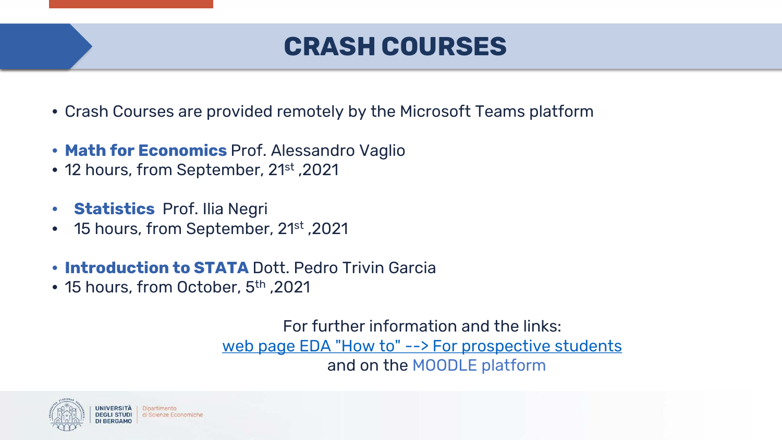### **CRASH COURSES**

- Crash Courses are provided remotely by the Microsoft Teams platform
- **Math for Economics** Prof. Alessandro Vaglio
- 12 hours, from September, 21<sup>st</sup>, 2021
- **Statistics** Prof. Ilia Negri
- 15 hours, from September, 21st ,2021
- **Introduction to STATA** Dott. Pedro Trivin Garcia
- 15 hours, from October, 5<sup>th</sup>, 2021

For further information and the links: [web page EDA "How to" --> For prospective students](https://ls-eda.unibg.it/en/how/prospective-student) and on the MOODLE platform

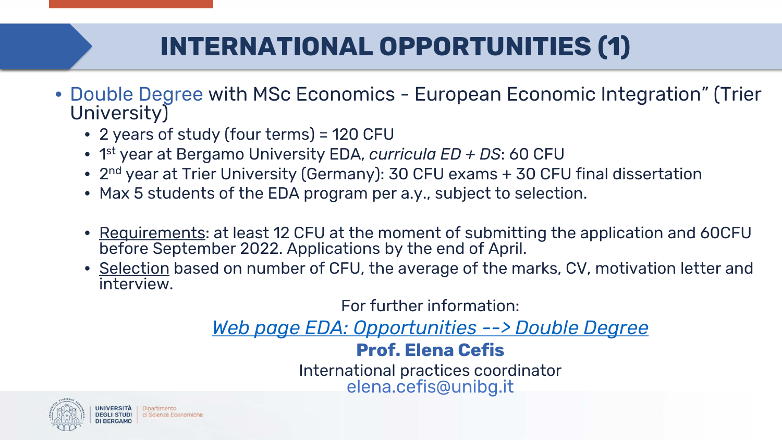# **INTERNATIONAL OPPORTUNITIES (1)**

- Double Degree with MSc Economics European Economic Integration" (Trier University)
	- 2 years of study (four terms) = 120 CFU
	- 1st year at Bergamo University EDA, *curricula ED + DS*: 60 CFU
	- 2<sup>nd</sup> year at Trier University (Germany): 30 CFU exams + 30 CFU final dissertation
	- Max 5 students of the EDA program per a.y., subject to selection.
	- Requirements: at least 12 CFU at the moment of submitting the application and 60CFU before September 2022. Applications by the end of April.
	- Selection based on number of CFU, the average of the marks, CV, motivation letter and interview.

For further information: *[Web page EDA: Opportunities --> Double Degree](https://ls-eda.unibg.it/en/opportunities/double-degree-program)*

### **Prof. Elena Cefis**

International practices coordinator elena.cefis@unibg.it

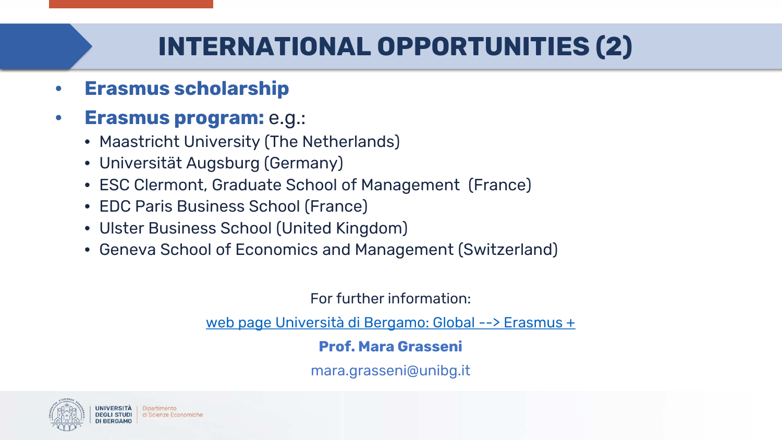### **INTERNATIONAL OPPORTUNITIES (2)**

• **Erasmus scholarship**

### • **Erasmus program:** e.g.:

- Maastricht University (The Netherlands)
- Universität Augsburg (Germany)
- ESC Clermont, Graduate School of Management (France)
- EDC Paris Business School (France)
- Ulster Business School (United Kingdom)
- Geneva School of Economics and Management (Switzerland)

For further information:

[web page Università di Bergamo: Global --> Erasmus +](https://en.unibg.it/global/going-abroad/erasmus)

### **Prof. Mara Grasseni**

mara.grasseni@unibg.it

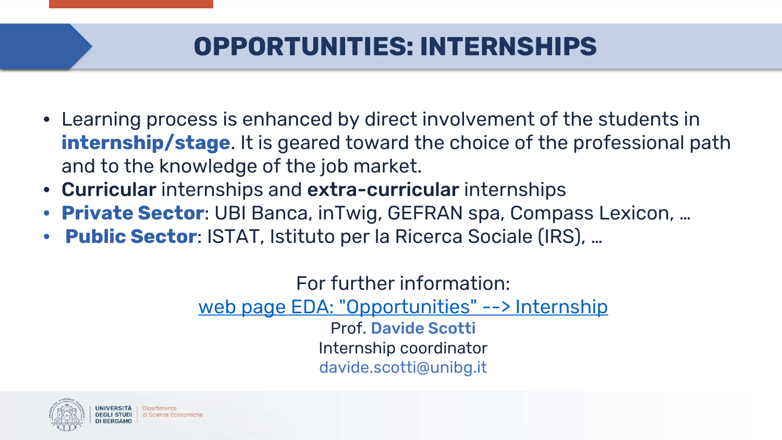### **OPPORTUNITIES: INTERNSHIPS**

- Learning process is enhanced by direct involvement of the students in **internship/stage**. It is geared toward the choice of the professional path and to the knowledge of the job market.
- Curricular internships and extra-curricular internships
- **Private Sector**: UBI Banca, inTwig, GEFRAN spa, Compass Lexicon, …
- **Public Sector**: ISTAT, Istituto per la Ricerca Sociale (IRS), …

For further information: [web page EDA: "Opportunities" --> Internship](https://ls-eda.unibg.it/en/opportunities/internships) Prof. Davide Scotti Internship coordinator davide.scotti@unibg.it

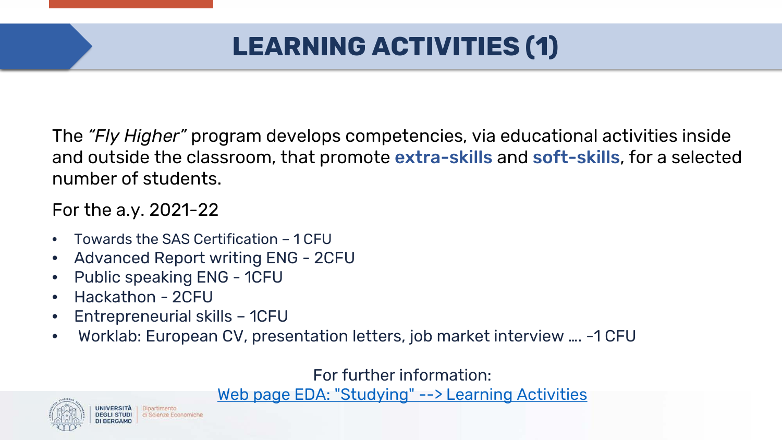# **LEARNING ACTIVITIES (1)**

The *"Fly Higher"* program develops competencies, via educational activities inside and outside the classroom, that promote extra-skills and soft-skills, for a selected number of students.

For the a.y. 2021-22

- Towards the SAS Certification 1 CFU
- Advanced Report writing ENG 2CFU
- Public speaking ENG 1CFU
- Hackathon 2CFU
- Entrepreneurial skills 1CFU
- Worklab: European CV, presentation letters, job market interview …. -1 CFU

For further information:

[Web page EDA: "Studying" --> Learning Activities](https://ls-eda.unibg.it/en/studying/learning-activities)

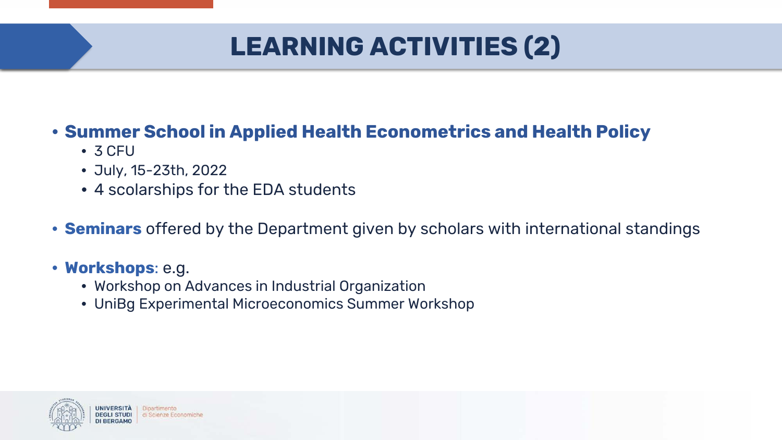# **LEARNING ACTIVITIES (2)**

### • **Summer School in Applied Health Econometrics and Health Policy**

- 3 CFU
- July, 15-23th, 2022
- 4 scolarships for the EDA students
- **Seminars** offered by the Department given by scholars with international standings
- **Workshops**: e.g.
	- Workshop on Advances in Industrial Organization
	- UniBg Experimental Microeconomics Summer Workshop



Dipartimento di Scienze Economiche